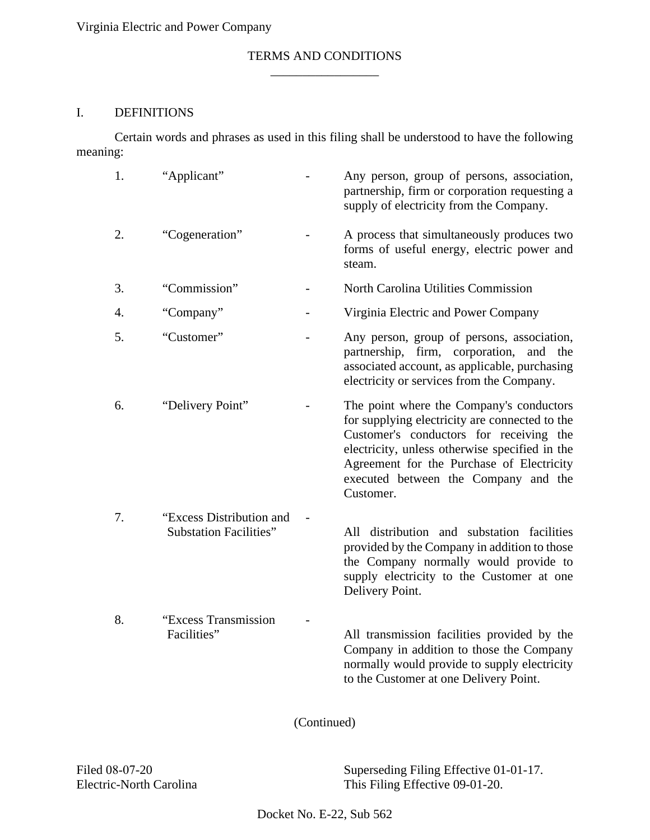## TERMS AND CONDITIONS  $\overline{\phantom{a}}$  , where  $\overline{\phantom{a}}$

## I. DEFINITIONS

Certain words and phrases as used in this filing shall be understood to have the following meaning:

| 1. | "Applicant"                                               | Any person, group of persons, association,<br>partnership, firm or corporation requesting a<br>supply of electricity from the Company.                                                                                                                                                    |
|----|-----------------------------------------------------------|-------------------------------------------------------------------------------------------------------------------------------------------------------------------------------------------------------------------------------------------------------------------------------------------|
| 2. | "Cogeneration"                                            | A process that simultaneously produces two<br>forms of useful energy, electric power and<br>steam.                                                                                                                                                                                        |
| 3. | "Commission"                                              | North Carolina Utilities Commission                                                                                                                                                                                                                                                       |
| 4. | "Company"                                                 | Virginia Electric and Power Company                                                                                                                                                                                                                                                       |
| 5. | "Customer"                                                | Any person, group of persons, association,<br>partnership, firm, corporation,<br>and the<br>associated account, as applicable, purchasing<br>electricity or services from the Company.                                                                                                    |
| 6. | "Delivery Point"                                          | The point where the Company's conductors<br>for supplying electricity are connected to the<br>Customer's conductors for receiving the<br>electricity, unless otherwise specified in the<br>Agreement for the Purchase of Electricity<br>executed between the Company and the<br>Customer. |
| 7. | "Excess Distribution and<br><b>Substation Facilities"</b> | All distribution and substation facilities<br>provided by the Company in addition to those<br>the Company normally would provide to<br>supply electricity to the Customer at one<br>Delivery Point.                                                                                       |
| 8. | "Excess Transmission<br>Facilities"                       | All transmission facilities provided by the<br>Company in addition to those the Company<br>normally would provide to supply electricity<br>to the Customer at one Delivery Point.                                                                                                         |

(Continued)

Filed 08-07-20 Superseding Filing Effective 01-01-17.<br>Electric-North Carolina This Filing Effective 09-01-20. This Filing Effective  $09-01-20$ .